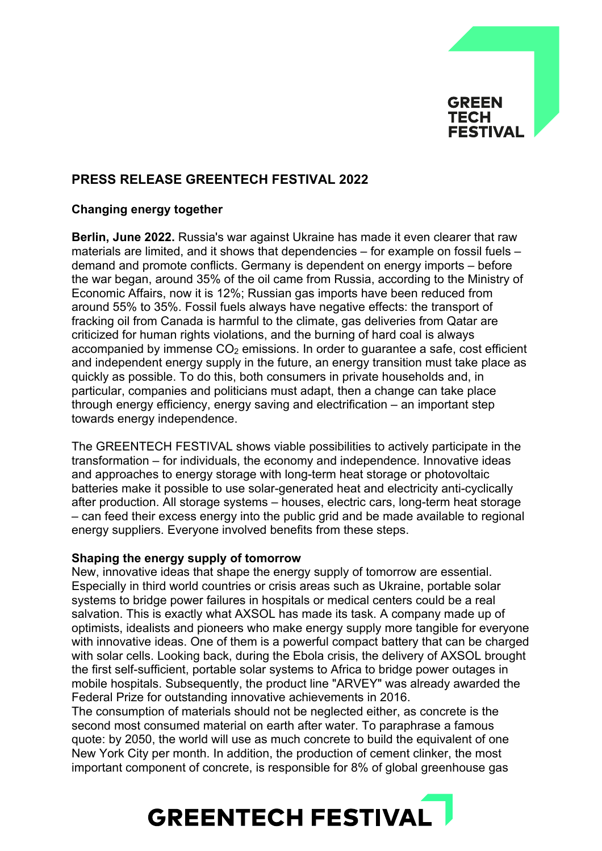

## **PRESS RELEASE GREENTECH FESTIVAL 2022**

### **Changing energy together**

**Berlin, June 2022.** Russia's war against Ukraine has made it even clearer that raw materials are limited, and it shows that dependencies – for example on fossil fuels – demand and promote conflicts. Germany is dependent on energy imports – before the war began, around 35% of the oil came from Russia, according to the Ministry of Economic Affairs, now it is 12%; Russian gas imports have been reduced from around 55% to 35%. Fossil fuels always have negative effects: the transport of fracking oil from Canada is harmful to the climate, gas deliveries from Qatar are criticized for human rights violations, and the burning of hard coal is always accompanied by immense  $CO<sub>2</sub>$  emissions. In order to quarantee a safe, cost efficient and independent energy supply in the future, an energy transition must take place as quickly as possible. To do this, both consumers in private households and, in particular, companies and politicians must adapt, then a change can take place through energy efficiency, energy saving and electrification – an important step towards energy independence.

The GREENTECH FESTIVAL shows viable possibilities to actively participate in the transformation – for individuals, the economy and independence. Innovative ideas and approaches to energy storage with long-term heat storage or photovoltaic batteries make it possible to use solar-generated heat and electricity anti-cyclically after production. All storage systems – houses, electric cars, long-term heat storage – can feed their excess energy into the public grid and be made available to regional energy suppliers. Everyone involved benefits from these steps.

### **Shaping the energy supply of tomorrow**

New, innovative ideas that shape the energy supply of tomorrow are essential. Especially in third world countries or crisis areas such as Ukraine, portable solar systems to bridge power failures in hospitals or medical centers could be a real salvation. This is exactly what AXSOL has made its task. A company made up of optimists, idealists and pioneers who make energy supply more tangible for everyone with innovative ideas. One of them is a powerful compact battery that can be charged with solar cells. Looking back, during the Ebola crisis, the delivery of AXSOL brought the first self-sufficient, portable solar systems to Africa to bridge power outages in mobile hospitals. Subsequently, the product line "ARVEY" was already awarded the Federal Prize for outstanding innovative achievements in 2016.

The consumption of materials should not be neglected either, as concrete is the second most consumed material on earth after water. To paraphrase a famous quote: by 2050, the world will use as much concrete to build the equivalent of one New York City per month. In addition, the production of cement clinker, the most important component of concrete, is responsible for 8% of global greenhouse gas

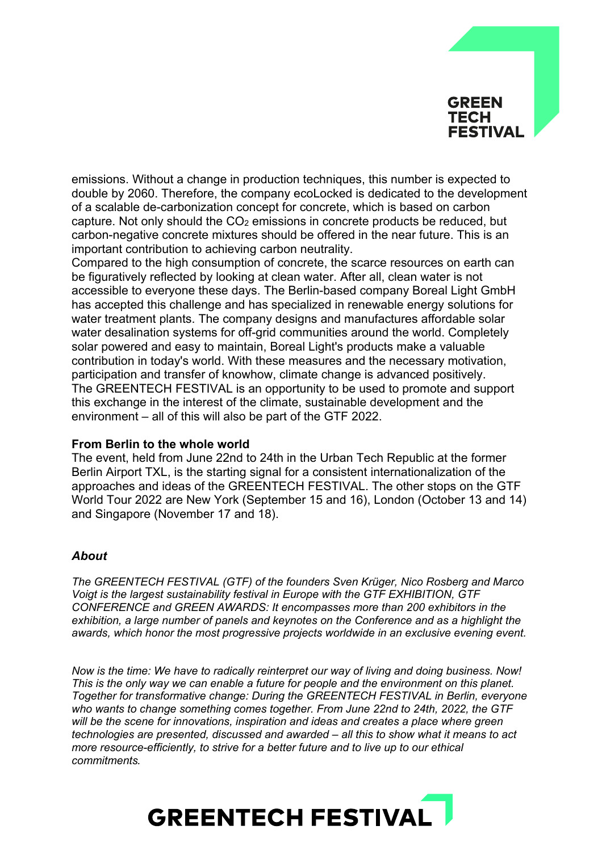# GREEN **TECH FESTIVAL**

emissions. Without a change in production techniques, this number is expected to double by 2060. Therefore, the company ecoLocked is dedicated to the development of a scalable de-carbonization concept for concrete, which is based on carbon capture. Not only should the  $CO<sub>2</sub>$  emissions in concrete products be reduced, but carbon-negative concrete mixtures should be offered in the near future. This is an important contribution to achieving carbon neutrality.

Compared to the high consumption of concrete, the scarce resources on earth can be figuratively reflected by looking at clean water. After all, clean water is not accessible to everyone these days. The Berlin-based company Boreal Light GmbH has accepted this challenge and has specialized in renewable energy solutions for water treatment plants. The company designs and manufactures affordable solar water desalination systems for off-grid communities around the world. Completely solar powered and easy to maintain, Boreal Light's products make a valuable contribution in today's world. With these measures and the necessary motivation, participation and transfer of knowhow, climate change is advanced positively. The GREENTECH FESTIVAL is an opportunity to be used to promote and support this exchange in the interest of the climate, sustainable development and the environment – all of this will also be part of the GTF 2022.

### **From Berlin to the whole world**

The event, held from June 22nd to 24th in the Urban Tech Republic at the former Berlin Airport TXL, is the starting signal for a consistent internationalization of the approaches and ideas of the GREENTECH FESTIVAL. The other stops on the GTF World Tour 2022 are New York (September 15 and 16), London (October 13 and 14) and Singapore (November 17 and 18).

### *About*

*The GREENTECH FESTIVAL (GTF) of the founders Sven Krüger, Nico Rosberg and Marco Voigt is the largest sustainability festival in Europe with the GTF EXHIBITION, GTF CONFERENCE and GREEN AWARDS: It encompasses more than 200 exhibitors in the exhibition, a large number of panels and keynotes on the Conference and as a highlight the awards, which honor the most progressive projects worldwide in an exclusive evening event.* 

*Now is the time: We have to radically reinterpret our way of living and doing business. Now! This is the only way we can enable a future for people and the environment on this planet. Together for transformative change: During the GREENTECH FESTIVAL in Berlin, everyone who wants to change something comes together. From June 22nd to 24th, 2022, the GTF will be the scene for innovations, inspiration and ideas and creates a place where green technologies are presented, discussed and awarded – all this to show what it means to act more resource-efficiently, to strive for a better future and to live up to our ethical commitments.*